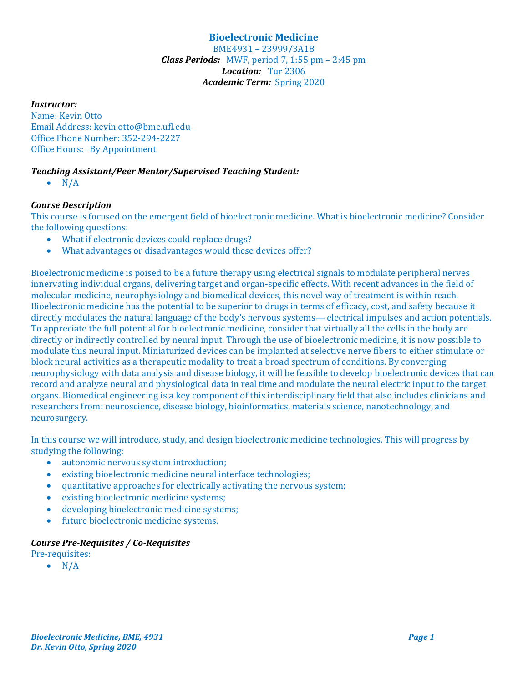# **Bioelectronic Medicine**

BME4931 – 23999/3A18 *Class Periods:* MWF, period 7, 1:55 pm – 2:45 pm *Location:* Tur 2306 *Academic Term:* Spring 2020

## *Instructor:*

Name: Kevin Otto Email Address: kevin.otto@bme.ufl.edu Office Phone Number: 352-294-2227 Office Hours: By Appointment

# *Teaching Assistant/Peer Mentor/Supervised Teaching Student:*

 $\bullet$  N/A

# *Course Description*

This course is focused on the emergent field of bioelectronic medicine. What is bioelectronic medicine? Consider the following questions:

- What if electronic devices could replace drugs?
- What advantages or disadvantages would these devices offer?

Bioelectronic medicine is poised to be a future therapy using electrical signals to modulate peripheral nerves innervating individual organs, delivering target and organ-specific effects. With recent advances in the field of molecular medicine, neurophysiology and biomedical devices, this novel way of treatment is within reach. Bioelectronic medicine has the potential to be superior to drugs in terms of efficacy, cost, and safety because it directly modulates the natural language of the body's nervous systems— electrical impulses and action potentials. To appreciate the full potential for bioelectronic medicine, consider that virtually all the cells in the body are directly or indirectly controlled by neural input. Through the use of bioelectronic medicine, it is now possible to modulate this neural input. Miniaturized devices can be implanted at selective nerve fibers to either stimulate or block neural activities as a therapeutic modality to treat a broad spectrum of conditions. By converging neurophysiology with data analysis and disease biology, it will be feasible to develop bioelectronic devices that can record and analyze neural and physiological data in real time and modulate the neural electric input to the target organs. Biomedical engineering is a key component of this interdisciplinary field that also includes clinicians and researchers from: neuroscience, disease biology, bioinformatics, materials science, nanotechnology, and neurosurgery.

In this course we will introduce, study, and design bioelectronic medicine technologies. This will progress by studying the following:

- autonomic nervous system introduction;
- existing bioelectronic medicine neural interface technologies;
- quantitative approaches for electrically activating the nervous system;
- existing bioelectronic medicine systems;
- developing bioelectronic medicine systems;
- future bioelectronic medicine systems.

# *Course Pre‐Requisites / Co‐Requisites*

Pre-requisites:

 $\bullet$  N/A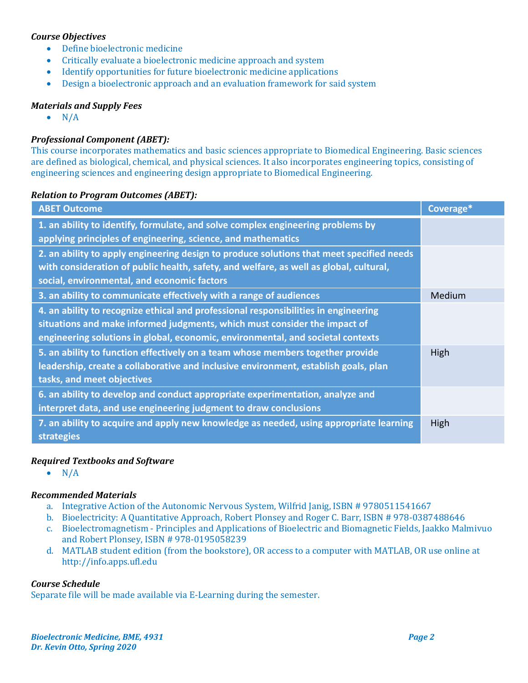## *Course Objectives*

- Define bioelectronic medicine
- Critically evaluate a bioelectronic medicine approach and system
- Identify opportunities for future bioelectronic medicine applications
- Design a bioelectronic approach and an evaluation framework for said system

### *Materials and Supply Fees*

 $\bullet$  N/A

## *Professional Component (ABET):*

This course incorporates mathematics and basic sciences appropriate to Biomedical Engineering. Basic sciences are defined as biological, chemical, and physical sciences. It also incorporates engineering topics, consisting of engineering sciences and engineering design appropriate to Biomedical Engineering.

### *Relation to Program Outcomes (ABET):*

| <b>ABET Outcome</b>                                                                                                                                                                                                                                 | Coverage* |
|-----------------------------------------------------------------------------------------------------------------------------------------------------------------------------------------------------------------------------------------------------|-----------|
| 1. an ability to identify, formulate, and solve complex engineering problems by<br>applying principles of engineering, science, and mathematics                                                                                                     |           |
| 2. an ability to apply engineering design to produce solutions that meet specified needs<br>with consideration of public health, safety, and welfare, as well as global, cultural,<br>social, environmental, and economic factors                   |           |
| 3. an ability to communicate effectively with a range of audiences                                                                                                                                                                                  | Medium    |
| 4. an ability to recognize ethical and professional responsibilities in engineering<br>situations and make informed judgments, which must consider the impact of<br>engineering solutions in global, economic, environmental, and societal contexts |           |
| 5. an ability to function effectively on a team whose members together provide<br>leadership, create a collaborative and inclusive environment, establish goals, plan<br>tasks, and meet objectives                                                 | High      |
| 6. an ability to develop and conduct appropriate experimentation, analyze and<br>interpret data, and use engineering judgment to draw conclusions                                                                                                   |           |
| 7. an ability to acquire and apply new knowledge as needed, using appropriate learning<br>strategies                                                                                                                                                | High      |

### *Required Textbooks and Software*

 $\bullet$  N/A

### *Recommended Materials*

- a. Integrative Action of the Autonomic Nervous System, Wilfrid Janig, ISBN # 9780511541667
- b. Bioelectricity: A Quantitative Approach, Robert Plonsey and Roger C. Barr, ISBN # 978-0387488646
- c. Bioelectromagnetism Principles and Applications of Bioelectric and Biomagnetic Fields, Jaakko Malmivuo and Robert Plonsey, ISBN # 978-0195058239
- d. MATLAB student edition (from the bookstore), OR access to a computer with MATLAB, OR use online at http://info.apps.ufl.edu

### *Course Schedule*

Separate file will be made available via E-Learning during the semester.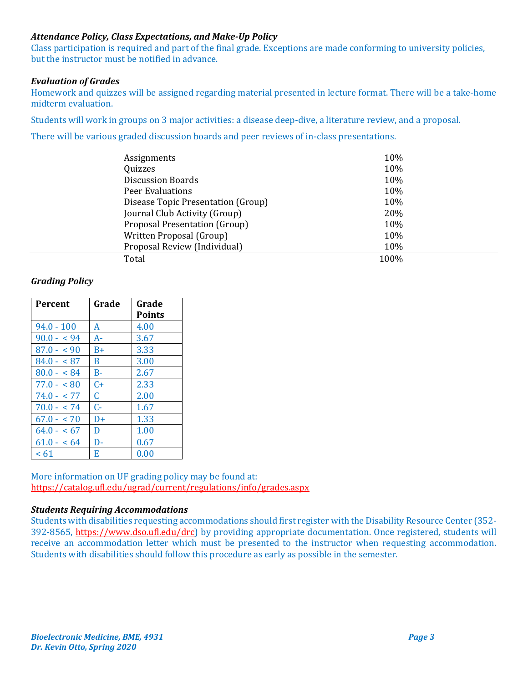# *Attendance Policy, Class Expectations, and Make‐Up Policy*

Class participation is required and part of the final grade. Exceptions are made conforming to university policies, but the instructor must be notified in advance.

### *Evaluation of Grades*

Homework and quizzes will be assigned regarding material presented in lecture format. There will be a take-home midterm evaluation.

Students will work in groups on 3 major activities: a disease deep-dive, a literature review, and a proposal.

There will be various graded discussion boards and peer reviews of in-class presentations.

| Assignments                        | 10%  |
|------------------------------------|------|
| Quizzes                            | 10%  |
| <b>Discussion Boards</b>           | 10%  |
| Peer Evaluations                   | 10%  |
| Disease Topic Presentation (Group) | 10%  |
| Journal Club Activity (Group)      | 20%  |
| Proposal Presentation (Group)      | 10%  |
| Written Proposal (Group)           | 10%  |
| Proposal Review (Individual)       | 10%  |
| Total                              | 100% |

## *Grading Policy*

| <b>Percent</b> | Grade | Grade<br><b>Points</b> |
|----------------|-------|------------------------|
| $94.0 - 100$   | A     | 4.00                   |
| $90.0 - 94$    | A-    | 3.67                   |
| $87.0 - 90$    | $B+$  | 3.33                   |
| $84.0 - 87$    | B     | 3.00                   |
| $80.0 - 84$    | $B-$  | 2.67                   |
| $77.0 - 80$    | $C+$  | 2.33                   |
| $74.0 - 77$    | C.    | 2.00                   |
| $70.0 - 74$    | $C-$  | 1.67                   |
| $67.0 - 70$    | D+    | 1.33                   |
| $64.0 - 67$    | D     | 1.00                   |
| $61.0 - 64$    | D-    | 0.67                   |
| <61            | E     | 0.00                   |

More information on UF grading policy may be found at: https://catalog.ufl.edu/ugrad/current/regulations/info/grades.aspx

### *Students Requiring Accommodations*

Students with disabilities requesting accommodations should first register with the Disability Resource Center (352- 392-8565, https://www.dso.ufl.edu/drc) by providing appropriate documentation. Once registered, students will receive an accommodation letter which must be presented to the instructor when requesting accommodation. Students with disabilities should follow this procedure as early as possible in the semester.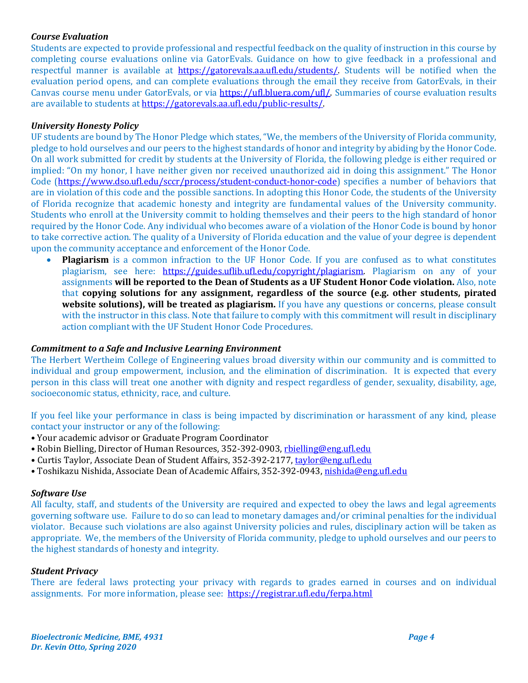## *Course Evaluation*

Students are expected to provide professional and respectful feedback on the quality of instruction in this course by completing course evaluations online via GatorEvals. Guidance on how to give feedback in a professional and respectful manner is available at https://gatorevals.aa.ufl.edu/students/. Students will be notified when the evaluation period opens, and can complete evaluations through the email they receive from GatorEvals, in their Canvas course menu under GatorEvals, or via https://ufl.bluera.com/ufl/. Summaries of course evaluation results are available to students at https://gatorevals.aa.ufl.edu/public-results/.

## *University Honesty Policy*

UF students are bound by The Honor Pledge which states, "We, the members of the University of Florida community, pledge to hold ourselves and our peers to the highest standards of honor and integrity by abiding by the Honor Code. On all work submitted for credit by students at the University of Florida, the following pledge is either required or implied: "On my honor, I have neither given nor received unauthorized aid in doing this assignment." The Honor Code (https://www.dso.ufl.edu/sccr/process/student-conduct-honor-code) specifies a number of behaviors that are in violation of this code and the possible sanctions. In adopting this Honor Code, the students of the University of Florida recognize that academic honesty and integrity are fundamental values of the University community. Students who enroll at the University commit to holding themselves and their peers to the high standard of honor required by the Honor Code. Any individual who becomes aware of a violation of the Honor Code is bound by honor to take corrective action. The quality of a University of Florida education and the value of your degree is dependent upon the community acceptance and enforcement of the Honor Code.

 **Plagiarism** is a common infraction to the UF Honor Code. If you are confused as to what constitutes plagiarism, see here: https://guides.uflib.ufl.edu/copyright/plagiarism. Plagiarism on any of your assignments **will be reported to the Dean of Students as a UF Student Honor Code violation.** Also, note that **copying solutions for any assignment, regardless of the source (e.g. other students, pirated website solutions), will be treated as plagiarism.** If you have any questions or concerns, please consult with the instructor in this class. Note that failure to comply with this commitment will result in disciplinary action compliant with the UF Student Honor Code Procedures.

### *Commitment to a Safe and Inclusive Learning Environment*

The Herbert Wertheim College of Engineering values broad diversity within our community and is committed to individual and group empowerment, inclusion, and the elimination of discrimination. It is expected that every person in this class will treat one another with dignity and respect regardless of gender, sexuality, disability, age, socioeconomic status, ethnicity, race, and culture.

If you feel like your performance in class is being impacted by discrimination or harassment of any kind, please contact your instructor or any of the following:

- Your academic advisor or Graduate Program Coordinator
- Robin Bielling, Director of Human Resources, 352-392-0903, rbielling@eng.ufl.edu
- Curtis Taylor, Associate Dean of Student Affairs, 352-392-2177, taylor@eng.ufl.edu
- Toshikazu Nishida, Associate Dean of Academic Affairs, 352-392-0943, nishida@eng.ufl.edu

### *Software Use*

All faculty, staff, and students of the University are required and expected to obey the laws and legal agreements governing software use. Failure to do so can lead to monetary damages and/or criminal penalties for the individual violator. Because such violations are also against University policies and rules, disciplinary action will be taken as appropriate. We, the members of the University of Florida community, pledge to uphold ourselves and our peers to the highest standards of honesty and integrity.

### *Student Privacy*

There are federal laws protecting your privacy with regards to grades earned in courses and on individual assignments. For more information, please see: https://registrar.ufl.edu/ferpa.html